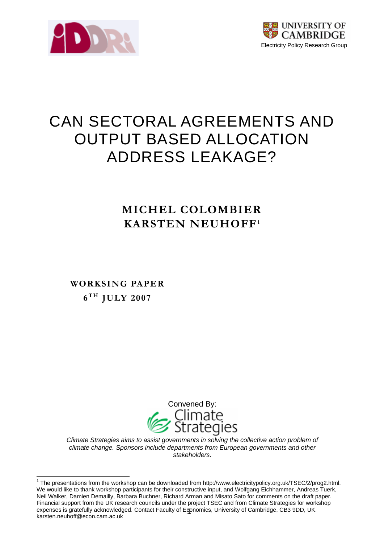



# CAN SECTORAL AGREEMENTS AND OUTPUT BASED ALLOCATION ADDRESS LEAKAGE?

## **MICHEL COLOMBIER KARSTEN NEUHOFF[1](#page-0-0)**

 $6^{TH}$  **JULY 2007 WORKSING PAPER** 



*Climate Strategies aims to assist governments in solving the collective action problem of climate change. Sponsors include departments from European governments and other stakeholders.* 

<span id="page-0-0"></span> 1 The presentations from the workshop can be downloaded from http://www.electricitypolicy.org.uk/TSEC/2/prog2.html. expenses is gratefully acknowledged. Contact Faculty of Eqonomics, University of Cambridge, CB3 9DD, UK. We would like to thank workshop participants for their constructive input, and Wolfgang Eichhammer, Andreas Tuerk, Neil Walker, Damien Demailly, Barbara Buchner, Richard Arman and Misato Sato for comments on the draft paper. Financial support from the UK research councils under the project TSEC and from Climate Strategies for workshop karsten.neuhoff@econ.cam.ac.uk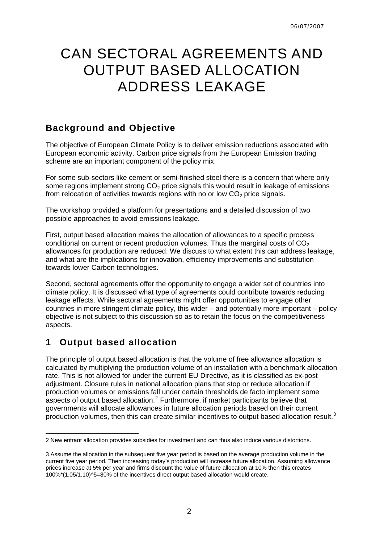## CAN SECTORAL AGREEMENTS AND OUTPUT BASED ALLOCATION ADDRESS LEAKAGE

## **Background and Objective**

The objective of European Climate Policy is to deliver emission reductions associated with European economic activity. Carbon price signals from the European Emission trading scheme are an important component of the policy mix.

For some sub-sectors like cement or semi-finished steel there is a concern that where only some regions implement strong  $CO<sub>2</sub>$  price signals this would result in leakage of emissions from relocation of activities towards regions with no or low  $CO<sub>2</sub>$  price signals.

The workshop provided a platform for presentations and a detailed discussion of two possible approaches to avoid emissions leakage.

First, output based allocation makes the allocation of allowances to a specific process conditional on current or recent production volumes. Thus the marginal costs of  $CO<sub>2</sub>$ allowances for production are reduced. We discuss to what extent this can address leakage, and what are the implications for innovation, efficiency improvements and substitution towards lower Carbon technologies.

Second, sectoral agreements offer the opportunity to engage a wider set of countries into climate policy. It is discussed what type of agreements could contribute towards reducing leakage effects. While sectoral agreements might offer opportunities to engage other countries in more stringent climate policy, this wider – and potentially more important – policy objective is not subject to this discussion so as to retain the focus on the competitiveness aspects.

## **1 Output based allocation**

-

The principle of output based allocation is that the volume of free allowance allocation is calculated by multiplying the production volume of an installation with a benchmark allocation rate. This is not allowed for under the current EU Directive, as it is classified as ex-post adjustment. Closure rules in national allocation plans that stop or reduce allocation if production volumes or emissions fall under certain thresholds de facto implement some aspects of output based allocation.<sup>[2](#page-1-0)</sup> Furthermore, if market participants believe that governments will allocate allowances in future allocation periods based on their current production volumes, then this can create similar incentives to output based allocation result. $3$ 

<span id="page-1-0"></span><sup>2</sup> New entrant allocation provides subsidies for investment and can thus also induce various distortions.

<span id="page-1-1"></span><sup>3</sup> Assume the allocation in the subsequent five year period is based on the average production volume in the current five year period. Then increasing today's production will increase future allocation. Assuming allowance prices increase at 5% per year and firms discount the value of future allocation at 10% then this creates 100%\*(1.05/1.10)^5=80% of the incentives direct output based allocation would create.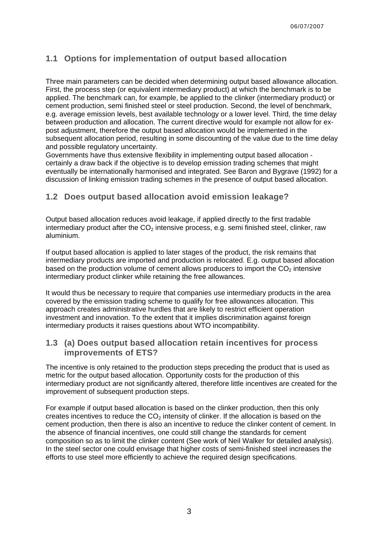## **1.1 Options for implementation of output based allocation**

Three main parameters can be decided when determining output based allowance allocation. First, the process step (or equivalent intermediary product) at which the benchmark is to be applied. The benchmark can, for example, be applied to the clinker (intermediary product) or cement production, semi finished steel or steel production. Second, the level of benchmark, e.g. average emission levels, best available technology or a lower level. Third, the time delay between production and allocation. The current directive would for example not allow for expost adjustment, therefore the output based allocation would be implemented in the subsequent allocation period, resulting in some discounting of the value due to the time delay and possible regulatory uncertainty.

Governments have thus extensive flexibility in implementing output based allocation certainly a draw back if the objective is to develop emission trading schemes that might eventually be internationally harmonised and integrated. See Baron and Bygrave (1992) for a discussion of linking emission trading schemes in the presence of output based allocation.

## **1.2 Does output based allocation avoid emission leakage?**

Output based allocation reduces avoid leakage, if applied directly to the first tradable intermediary product after the  $CO<sub>2</sub>$  intensive process, e.g. semi finished steel, clinker, raw aluminium.

If output based allocation is applied to later stages of the product, the risk remains that intermediary products are imported and production is relocated. E.g. output based allocation based on the production volume of cement allows producers to import the  $CO<sub>2</sub>$  intensive intermediary product clinker while retaining the free allowances.

It would thus be necessary to require that companies use intermediary products in the area covered by the emission trading scheme to qualify for free allowances allocation. This approach creates administrative hurdles that are likely to restrict efficient operation investment and innovation. To the extent that it implies discrimination against foreign intermediary products it raises questions about WTO incompatibility.

## **1.3 (a) Does output based allocation retain incentives for process improvements of ETS?**

The incentive is only retained to the production steps preceding the product that is used as metric for the output based allocation. Opportunity costs for the production of this intermediary product are not significantly altered, therefore little incentives are created for the improvement of subsequent production steps.

For example if output based allocation is based on the clinker production, then this only creates incentives to reduce the  $CO<sub>2</sub>$  intensity of clinker. If the allocation is based on the cement production, then there is also an incentive to reduce the clinker content of cement. In the absence of financial incentives, one could still change the standards for cement composition so as to limit the clinker content (See work of Neil Walker for detailed analysis). In the steel sector one could envisage that higher costs of semi-finished steel increases the efforts to use steel more efficiently to achieve the required design specifications.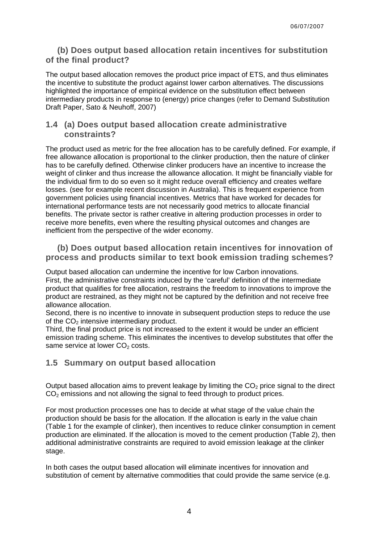## **(b) Does output based allocation retain incentives for substitution of the final product?**

The output based allocation removes the product price impact of ETS, and thus eliminates the incentive to substitute the product against lower carbon alternatives. The discussions highlighted the importance of empirical evidence on the substitution effect between intermediary products in response to (energy) price changes (refer to Demand Substitution Draft Paper, Sato & Neuhoff, 2007)

## **1.4 (a) Does output based allocation create administrative constraints?**

The product used as metric for the free allocation has to be carefully defined. For example, if free allowance allocation is proportional to the clinker production, then the nature of clinker has to be carefully defined. Otherwise clinker producers have an incentive to increase the weight of clinker and thus increase the allowance allocation. It might be financially viable for the individual firm to do so even so it might reduce overall efficiency and creates welfare losses. (see for example recent discussion in Australia). This is frequent experience from government policies using financial incentives. Metrics that have worked for decades for international performance tests are not necessarily good metrics to allocate financial benefits. The private sector is rather creative in altering production processes in order to receive more benefits, even where the resulting physical outcomes and changes are inefficient from the perspective of the wider economy.

## **(b) Does output based allocation retain incentives for innovation of process and products similar to text book emission trading schemes?**

Output based allocation can undermine the incentive for low Carbon innovations. First, the administrative constraints induced by the 'careful' definition of the intermediate product that qualifies for free allocation, restrains the freedom to innovations to improve the product are restrained, as they might not be captured by the definition and not receive free allowance allocation.

Second, there is no incentive to innovate in subsequent production steps to reduce the use of the  $CO<sub>2</sub>$  intensive intermediary product.

Third, the final product price is not increased to the extent it would be under an efficient emission trading scheme. This eliminates the incentives to develop substitutes that offer the same service at lower  $CO<sub>2</sub>$  costs.

## **1.5 Summary on output based allocation**

Output based allocation aims to prevent leakage by limiting the  $CO<sub>2</sub>$  price signal to the direct  $CO<sub>2</sub>$  emissions and not allowing the signal to feed through to product prices.

For most production processes one has to decide at what stage of the value chain the production should be basis for the allocation. If the allocation is early in the value chain ([Table 1](#page-4-0) for the example of clinker), then incentives to reduce clinker consumption in cement production are eliminated. If the allocation is moved to the cement production [\(Table 2](#page-4-1)), then additional administrative constraints are required to avoid emission leakage at the clinker stage.

In both cases the output based allocation will eliminate incentives for innovation and substitution of cement by alternative commodities that could provide the same service (e.g.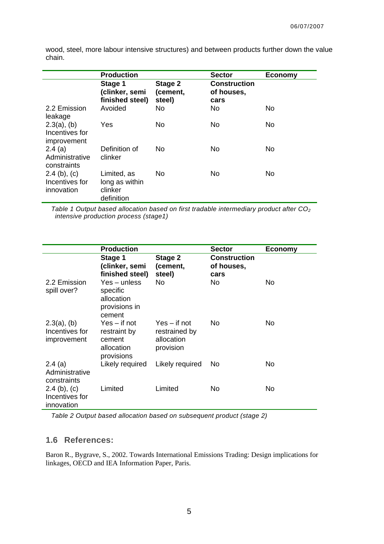wood, steel, more labour intensive structures) and between products further down the value chain.

|                                                 | <b>Production</b>                                      |                               | <b>Sector</b>                             | <b>Economy</b> |
|-------------------------------------------------|--------------------------------------------------------|-------------------------------|-------------------------------------------|----------------|
|                                                 | Stage 1<br>(clinker, semi<br>finished steel)           | Stage 2<br>(cement,<br>steel) | <b>Construction</b><br>of houses,<br>cars |                |
| 2.2 Emission<br>leakage                         | Avoided                                                | No.                           | No                                        | No             |
| $2.3(a)$ , (b)<br>Incentives for<br>improvement | Yes                                                    | No                            | No                                        | No             |
| 2.4(a)<br>Administrative<br>constraints         | Definition of<br>clinker                               | No.                           | No                                        | No             |
| $2.4$ (b), (c)<br>Incentives for<br>innovation  | Limited, as<br>long as within<br>clinker<br>definition | No.                           | No                                        | No             |

<span id="page-4-0"></span>*Table 1 Output based allocation based on first tradable intermediary product after CO2 intensive production process (stage1)* 

|                                                 | <b>Production</b>                                                    |                                                            | <b>Sector</b>                             | <b>Economy</b> |
|-------------------------------------------------|----------------------------------------------------------------------|------------------------------------------------------------|-------------------------------------------|----------------|
|                                                 | Stage 1<br>(clinker, semi<br>finished steel)                         | Stage 2<br>(cement,<br>steel)                              | <b>Construction</b><br>of houses,<br>cars |                |
| 2.2 Emission<br>spill over?                     | $Yes$ – unless<br>specific<br>allocation<br>provisions in<br>cement  | No.                                                        | No.                                       | No.            |
| $2.3(a)$ , (b)<br>Incentives for<br>improvement | $Yes - if not$<br>restraint by<br>cement<br>allocation<br>provisions | $Yes - if not$<br>restrained by<br>allocation<br>provision | No.                                       | No.            |
| 2.4(a)<br>Administrative<br>constraints         | Likely required                                                      | Likely required                                            | No.                                       | No.            |
| $2.4$ (b), (c)<br>Incentives for<br>innovation  | Limited                                                              | Limited                                                    | No.                                       | No             |

*Table 2 Output based allocation based on subsequent product (stage 2)* 

## <span id="page-4-1"></span>**1.6 References:**

Baron R., Bygrave, S., 2002. Towards International Emissions Trading: Design implications for linkages, OECD and IEA Information Paper, Paris.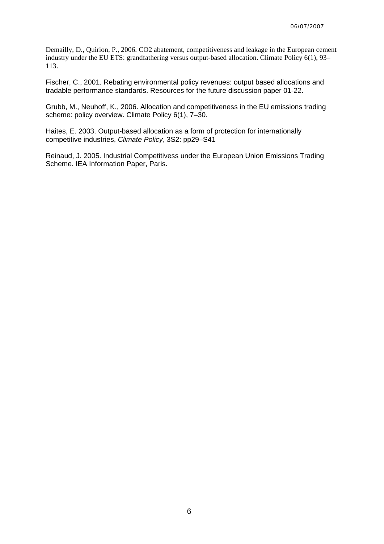Demailly, D., Quirion, P., 2006. CO2 abatement, competitiveness and leakage in the European cement industry under the EU ETS: grandfathering versus output-based allocation. Climate Policy 6(1), 93– 113.

Fischer, C., 2001. Rebating environmental policy revenues: output based allocations and tradable performance standards. Resources for the future discussion paper 01-22.

Grubb, M., Neuhoff, K., 2006. Allocation and competitiveness in the EU emissions trading scheme: policy overview. Climate Policy 6(1), 7–30.

Haites, E. 2003. Output-based allocation as a form of protection for internationally competitive industries, *Climate Policy*, 3S2: pp29–S41

Reinaud, J. 2005. Industrial Competitivess under the European Union Emissions Trading Scheme. IEA Information Paper, Paris.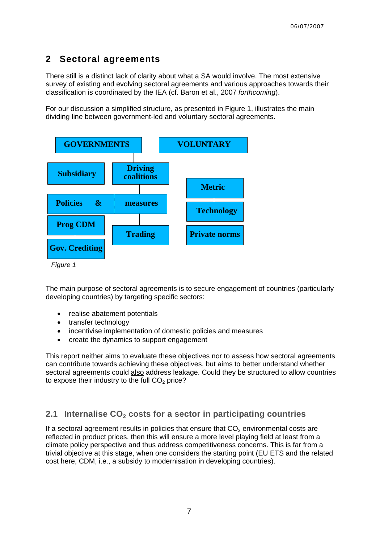## **2 Sectoral agreements**

There still is a distinct lack of clarity about what a SA would involve. The most extensive survey of existing and evolving sectoral agreements and various approaches towards their classification is coordinated by the IEA (cf. Baron et al., 2007 *forthcoming*).

For our discussion a simplified structure, as presented in [Figure 1](#page-6-0), illustrates the main dividing line between government-led and voluntary sectoral agreements.



<span id="page-6-0"></span>The main purpose of sectoral agreements is to secure engagement of countries (particularly developing countries) by targeting specific sectors:

- realise abatement potentials
- transfer technology
- incentivise implementation of domestic policies and measures
- create the dynamics to support engagement

This report neither aims to evaluate these objectives nor to assess how sectoral agreements can contribute towards achieving these objectives, but aims to better understand whether sectoral agreements could also address leakage. Could they be structured to allow countries to expose their industry to the full  $CO<sub>2</sub>$  price?

## **2.1 Internalise CO<sub>2</sub> costs for a sector in participating countries**

If a sectoral agreement results in policies that ensure that  $CO<sub>2</sub>$  environmental costs are reflected in product prices, then this will ensure a more level playing field at least from a climate policy perspective and thus address competitiveness concerns. This is far from a trivial objective at this stage, when one considers the starting point (EU ETS and the related cost here, CDM, i.e., a subsidy to modernisation in developing countries).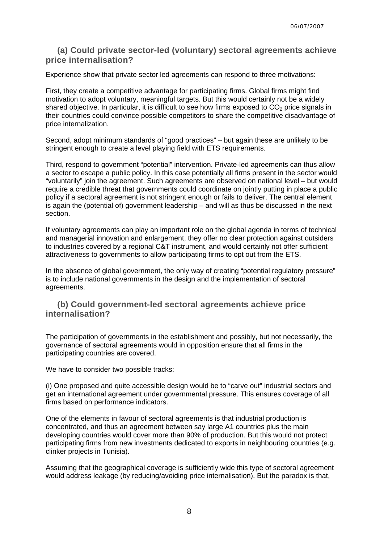## **(a) Could private sector-led (voluntary) sectoral agreements achieve price internalisation?**

Experience show that private sector led agreements can respond to three motivations:

First, they create a competitive advantage for participating firms. Global firms might find motivation to adopt voluntary, meaningful targets. But this would certainly not be a widely shared objective. In particular, it is difficult to see how firms exposed to  $CO<sub>2</sub>$  price signals in their countries could convince possible competitors to share the competitive disadvantage of price internalization.

Second, adopt minimum standards of "good practices" – but again these are unlikely to be stringent enough to create a level playing field with ETS requirements.

Third, respond to government "potential" intervention. Private-led agreements can thus allow a sector to escape a public policy. In this case potentially all firms present in the sector would "voluntarily" join the agreement. Such agreements are observed on national level – but would require a credible threat that governments could coordinate on jointly putting in place a public policy if a sectoral agreement is not stringent enough or fails to deliver. The central element is again the (potential of) government leadership – and will as thus be discussed in the next section.

If voluntary agreements can play an important role on the global agenda in terms of technical and managerial innovation and enlargement, they offer no clear protection against outsiders to industries covered by a regional C&T instrument, and would certainly not offer sufficient attractiveness to governments to allow participating firms to opt out from the ETS.

In the absence of global government, the only way of creating "potential regulatory pressure" is to include national governments in the design and the implementation of sectoral agreements.

## **(b) Could government-led sectoral agreements achieve price internalisation?**

The participation of governments in the establishment and possibly, but not necessarily, the governance of sectoral agreements would in opposition ensure that all firms in the participating countries are covered.

We have to consider two possible tracks:

(i) One proposed and quite accessible design would be to "carve out" industrial sectors and get an international agreement under governmental pressure. This ensures coverage of all firms based on performance indicators.

One of the elements in favour of sectoral agreements is that industrial production is concentrated, and thus an agreement between say large A1 countries plus the main developing countries would cover more than 90% of production. But this would not protect participating firms from new investments dedicated to exports in neighbouring countries (e.g. clinker projects in Tunisia).

Assuming that the geographical coverage is sufficiently wide this type of sectoral agreement would address leakage (by reducing/avoiding price internalisation). But the paradox is that,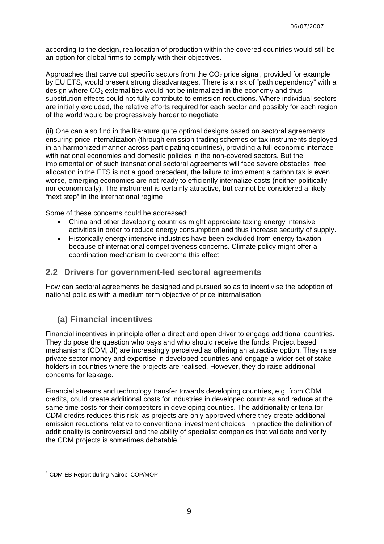according to the design, reallocation of production within the covered countries would still be an option for global firms to comply with their objectives.

Approaches that carve out specific sectors from the  $CO<sub>2</sub>$  price signal, provided for example by EU ETS, would present strong disadvantages. There is a risk of "path dependency" with a design where  $CO<sub>2</sub>$  externalities would not be internalized in the economy and thus substitution effects could not fully contribute to emission reductions. Where individual sectors are initially excluded, the relative efforts required for each sector and possibly for each region of the world would be progressively harder to negotiate

(ii) One can also find in the literature quite optimal designs based on sectoral agreements ensuring price internalization (through emission trading schemes or tax instruments deployed in an harmonized manner across participating countries), providing a full economic interface with national economies and domestic policies in the non-covered sectors. But the implementation of such transnational sectoral agreements will face severe obstacles: free allocation in the ETS is not a good precedent, the failure to implement a carbon tax is even worse, emerging economies are not ready to efficiently internalize costs (neither politically nor economically). The instrument is certainly attractive, but cannot be considered a likely "next step" in the international regime

Some of these concerns could be addressed:

- China and other developing countries might appreciate taxing energy intensive activities in order to reduce energy consumption and thus increase security of supply.
- Historically energy intensive industries have been excluded from energy taxation because of international competitiveness concerns. Climate policy might offer a coordination mechanism to overcome this effect.

## **2.2 Drivers for government-led sectoral agreements**

How can sectoral agreements be designed and pursued so as to incentivise the adoption of national policies with a medium term objective of price internalisation

## **(a) Financial incentives**

Financial incentives in principle offer a direct and open driver to engage additional countries. They do pose the question who pays and who should receive the funds. Project based mechanisms (CDM, JI) are increasingly perceived as offering an attractive option. They raise private sector money and expertise in developed countries and engage a wider set of stake holders in countries where the projects are realised. However, they do raise additional concerns for leakage.

Financial streams and technology transfer towards developing countries, e.g. from CDM credits, could create additional costs for industries in developed countries and reduce at the same time costs for their competitors in developing counties. The additionality criteria for CDM credits reduces this risk, as projects are only approved where they create additional emission reductions relative to conventional investment choices. In practice the definition of additionality is controversial and the ability of specialist companies that validate and verify the CDM projects is sometimes debatable.<sup>[4](#page-8-0)</sup>

<span id="page-8-0"></span><sup>-</sup>4 CDM EB Report during Nairobi COP/MOP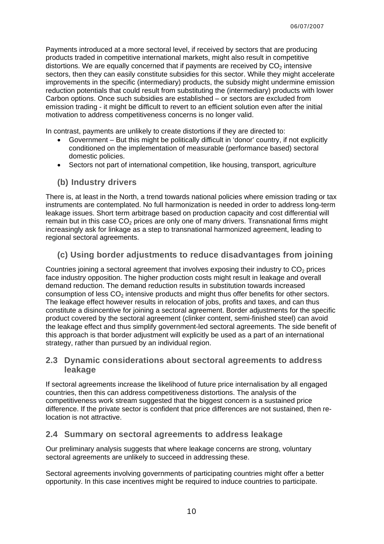Payments introduced at a more sectoral level, if received by sectors that are producing products traded in competitive international markets, might also result in competitive distortions. We are equally concerned that if payments are received by  $CO<sub>2</sub>$  intensive sectors, then they can easily constitute subsidies for this sector. While they might accelerate improvements in the specific (intermediary) products, the subsidy might undermine emission reduction potentials that could result from substituting the (intermediary) products with lower Carbon options. Once such subsidies are established – or sectors are excluded from emission trading - it might be difficult to revert to an efficient solution even after the initial motivation to address competitiveness concerns is no longer valid.

In contrast, payments are unlikely to create distortions if they are directed to:

- Government But this might be politically difficult in 'donor' country, if not explicitly conditioned on the implementation of measurable (performance based) sectoral domestic policies.
- Sectors not part of international competition, like housing, transport, agriculture

#### **(b) Industry drivers**

There is, at least in the North, a trend towards national policies where emission trading or tax instruments are contemplated. No full harmonization is needed in order to address long-term leakage issues. Short term arbitrage based on production capacity and cost differential will remain but in this case  $CO<sub>2</sub>$  prices are only one of many drivers. Transnational firms might increasingly ask for linkage as a step to transnational harmonized agreement, leading to regional sectoral agreements.

## **(c) Using border adjustments to reduce disadvantages from joining**

Countries joining a sectoral agreement that involves exposing their industry to  $CO<sub>2</sub>$  prices face industry opposition. The higher production costs might result in leakage and overall demand reduction. The demand reduction results in substitution towards increased consumption of less  $CO<sub>2</sub>$  intensive products and might thus offer benefits for other sectors. The leakage effect however results in relocation of jobs, profits and taxes, and can thus constitute a disincentive for joining a sectoral agreement. Border adjustments for the specific product covered by the sectoral agreement (clinker content, semi-finished steel) can avoid the leakage effect and thus simplify government-led sectoral agreements. The side benefit of this approach is that border adjustment will explicitly be used as a part of an international strategy, rather than pursued by an individual region.

#### **2.3 Dynamic considerations about sectoral agreements to address leakage**

If sectoral agreements increase the likelihood of future price internalisation by all engaged countries, then this can address competitiveness distortions. The analysis of the competitiveness work stream suggested that the biggest concern is a sustained price difference. If the private sector is confident that price differences are not sustained, then relocation is not attractive.

## **2.4 Summary on sectoral agreements to address leakage**

Our preliminary analysis suggests that where leakage concerns are strong, voluntary sectoral agreements are unlikely to succeed in addressing these.

Sectoral agreements involving governments of participating countries might offer a better opportunity. In this case incentives might be required to induce countries to participate.